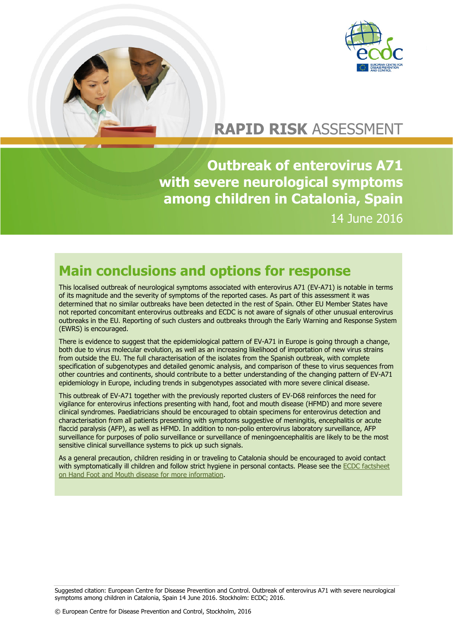

# **RAPID RISK** ASSESSMENT

**Outbreak of enterovirus A71 with severe neurological symptoms among children in Catalonia, Spain** 14 June 2016

### **Main conclusions and options for response**

This localised outbreak of neurological symptoms associated with enterovirus A71 (EV-A71) is notable in terms of its magnitude and the severity of symptoms of the reported cases. As part of this assessment it was determined that no similar outbreaks have been detected in the rest of Spain. Other EU Member States have not reported concomitant enterovirus outbreaks and ECDC is not aware of signals of other unusual enterovirus outbreaks in the EU. Reporting of such clusters and outbreaks through the Early Warning and Response System (EWRS) is encouraged.

There is evidence to suggest that the epidemiological pattern of EV-A71 in Europe is going through a change, both due to virus molecular evolution, as well as an increasing likelihood of importation of new virus strains from outside the EU. The full characterisation of the isolates from the Spanish outbreak, with complete specification of subgenotypes and detailed genomic analysis, and comparison of these to virus sequences from other countries and continents, should contribute to a better understanding of the changing pattern of EV-A71 epidemiology in Europe, including trends in subgenotypes associated with more severe clinical disease.

This outbreak of EV-A71 together with the previously reported clusters of EV-D68 reinforces the need for vigilance for enterovirus infections presenting with hand, foot and mouth disease (HFMD) and more severe clinical syndromes. Paediatricians should be encouraged to obtain specimens for enterovirus detection and characterisation from all patients presenting with symptoms suggestive of meningitis, encephalitis or acute flaccid paralysis (AFP), as well as HFMD. In addition to non-polio enterovirus laboratory surveillance, AFP surveillance for purposes of polio surveillance or surveillance of meningoencephalitis are likely to be the most sensitive clinical surveillance systems to pick up such signals.

As a general precaution, children residing in or traveling to Catalonia should be encouraged to avoid contact with symptomatically ill children and follow strict hygiene in personal contacts. Please see the ECDC factsheet [on Hand Foot and Mouth disease for more information.](http://ecdc.europa.eu/en/healthtopics/hand_foot_and_mouth_disease/Pages/factsheet_general_public.aspx)

Suggested citation: European Centre for Disease Prevention and Control. Outbreak of enterovirus A71 with severe neurological symptoms among children in Catalonia, Spain 14 June 2016. Stockholm: ECDC; 2016.

© European Centre for Disease Prevention and Control, Stockholm, 2016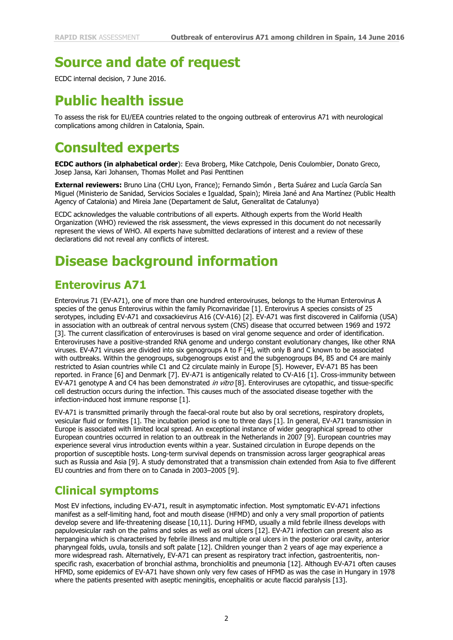# **Source and date of request**

ECDC internal decision, 7 June 2016.

# **Public health issue**

To assess the risk for EU/EEA countries related to the ongoing outbreak of enterovirus A71 with neurological complications among children in Catalonia, Spain.

### **Consulted experts**

**ECDC authors (in alphabetical order**): Eeva Broberg, Mike Catchpole, Denis Coulombier, Donato Greco, Josep Jansa, Kari Johansen, Thomas Mollet and Pasi Penttinen

**External reviewers:** Bruno Lina (CHU Lyon, France); Fernando Simón , Berta Suárez and Lucía García San Miguel (Ministerio de Sanidad, Servicios Sociales e Igualdad, Spain); Mireia Jané and Ana Martínez (Public Health Agency of Catalonia) and Mireia Jane (Departament de Salut, Generalitat de Catalunya)

ECDC acknowledges the valuable contributions of all experts. Although experts from the World Health Organization (WHO) reviewed the risk assessment, the views expressed in this document do not necessarily represent the views of WHO. All experts have submitted declarations of interest and a review of these declarations did not reveal any conflicts of interest.

# **Disease background information**

### **Enterovirus A71**

Enterovirus 71 (EV-A71), one of more than one hundred enteroviruses, belongs to the Human Enterovirus A species of the genus Enterovirus within the family Picornaviridae [1]. Enterovirus A species consists of 25 serotypes, including EV-A71 and coxsackievirus A16 (CV-A16) [2]. EV-A71 was first discovered in California (USA) in association with an outbreak of central nervous system (CNS) disease that occurred between 1969 and 1972 [3]. The current classification of enteroviruses is based on viral genome sequence and order of identification. Enteroviruses have a positive-stranded RNA genome and undergo constant evolutionary changes, like other RNA viruses. EV-A71 viruses are divided into six genogroups A to F [4], with only B and C known to be associated with outbreaks. Within the genogroups, subgenogroups exist and the subgenogroups B4, B5 and C4 are mainly restricted to Asian countries while C1 and C2 circulate mainly in Europe [5]. However, EV-A71 B5 has been reported. in France [6] and Denmark [7]. EV-A71 is antigenically related to CV-A16 [1]. Cross-immunity between EV-A71 genotype A and C4 has been demonstrated in vitro [8]. Enteroviruses are cytopathic, and tissue-specific cell destruction occurs during the infection. This causes much of the associated disease together with the infection-induced host immune response [1].

EV-A71 is transmitted primarily through the faecal-oral route but also by oral secretions, respiratory droplets, vesicular fluid or fomites [1]. The incubation period is one to three days [1]. In general, EV-A71 transmission in Europe is associated with limited local spread. An exceptional instance of wider geographical spread to other European countries occurred in relation to an outbreak in the Netherlands in 2007 [9]. European countries may experience several virus introduction events within a year. Sustained circulation in Europe depends on the proportion of susceptible hosts. Long-term survival depends on transmission across larger geographical areas such as Russia and Asia [9]. A study demonstrated that a transmission chain extended from Asia to five different EU countries and from there on to Canada in 2003–2005 [9].

#### **Clinical symptoms**

Most EV infections, including EV-A71, result in asymptomatic infection. Most symptomatic EV-A71 infections manifest as a self-limiting hand, foot and mouth disease (HFMD) and only a very small proportion of patients develop severe and life-threatening disease [10,11]. During HFMD, usually a mild febrile illness develops with papulovesicular rash on the palms and soles as well as oral ulcers [12]. EV-A71 infection can present also as herpangina which is characterised by febrile illness and multiple oral ulcers in the posterior oral cavity, anterior pharyngeal folds, uvula, tonsils and soft palate [12]. Children younger than 2 years of age may experience a more widespread rash. Alternatively, EV-A71 can present as respiratory tract infection, gastroenteritis, nonspecific rash, exacerbation of bronchial asthma, bronchiolitis and pneumonia [12]. Although EV-A71 often causes HFMD, some epidemics of EV-A71 have shown only very few cases of HFMD as was the case in Hungary in 1978 where the patients presented with aseptic meningitis, encephalitis or acute flaccid paralysis [13].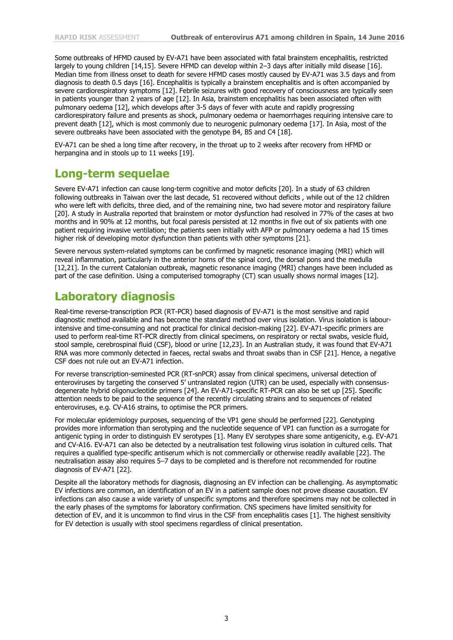Some outbreaks of HFMD caused by EV-A71 have been associated with fatal brainstem encephalitis, restricted largely to young children [14,15]. Severe HFMD can develop within 2–3 days after initially mild disease [16]. Median time from illness onset to death for severe HFMD cases mostly caused by EV-A71 was 3.5 days and from diagnosis to death 0.5 days [16]. Encephalitis is typically a brainstem encephalitis and is often accompanied by severe cardiorespiratory symptoms [12]. Febrile seizures with good recovery of consciousness are typically seen in patients younger than 2 years of age [12]. In Asia, brainstem encephalitis has been associated often with pulmonary oedema [12], which develops after 3-5 days of fever with acute and rapidly progressing cardiorespiratory failure and presents as shock, pulmonary oedema or haemorrhages requiring intensive care to prevent death [12], which is most commonly due to neurogenic pulmonary oedema [17]. In Asia, most of the severe outbreaks have been associated with the genotype B4, B5 and C4 [18].

EV-A71 can be shed a long time after recovery, in the throat up to 2 weeks after recovery from HFMD or herpangina and in stools up to 11 weeks [19].

#### **Long-term sequelae**

Severe EV-A71 infection can cause long-term cognitive and motor deficits [20]. In a study of 63 children following outbreaks in Taiwan over the last decade, 51 recovered without deficits , while out of the 12 children who were left with deficits, three died, and of the remaining nine, two had severe motor and respiratory failure [20]. A study in Australia reported that brainstem or motor dysfunction had resolved in 77% of the cases at two months and in 90% at 12 months, but focal paresis persisted at 12 months in five out of six patients with one patient requiring invasive ventilation; the patients seen initially with AFP or pulmonary oedema a had 15 times higher risk of developing motor dysfunction than patients with other symptoms [21].

Severe nervous system-related symptoms can be confirmed by magnetic resonance imaging (MRI) which will reveal inflammation, particularly in the anterior horns of the spinal cord, the dorsal pons and the medulla [12,21]. In the current Catalonian outbreak, magnetic resonance imaging (MRI) changes have been included as part of the case definition. Using a computerised tomography (CT) scan usually shows normal images [12].

#### **Laboratory diagnosis**

Real-time reverse-transcription PCR (RT-PCR) based diagnosis of EV-A71 is the most sensitive and rapid diagnostic method available and has become the standard method over virus isolation. Virus isolation is labourintensive and time-consuming and not practical for clinical decision-making [22]. EV-A71-specific primers are used to perform real-time RT-PCR directly from clinical specimens, on respiratory or rectal swabs, vesicle fluid, stool sample, cerebrospinal fluid (CSF), blood or urine [12,23]. In an Australian study, it was found that EV-A71 RNA was more commonly detected in faeces, rectal swabs and throat swabs than in CSF [21]. Hence, a negative CSF does not rule out an EV-A71 infection.

For reverse transcription-seminested PCR (RT-snPCR) assay from clinical specimens, universal detection of enteroviruses by targeting the conserved 5' untranslated region (UTR) can be used, especially with consensusdegenerate hybrid oligonucleotide primers [24]. An EV-A71-specific RT-PCR can also be set up [25]. Specific attention needs to be paid to the sequence of the recently circulating strains and to sequences of related enteroviruses, e.g. CV-A16 strains, to optimise the PCR primers.

For molecular epidemiology purposes, sequencing of the VP1 gene should be performed [22]. Genotyping provides more information than serotyping and the nucleotide sequence of VP1 can function as a surrogate for antigenic typing in order to distinguish EV serotypes [1]. Many EV serotypes share some antigenicity, e.g. EV-A71 and CV-A16. EV-A71 can also be detected by a neutralisation test following virus isolation in cultured cells. That requires a qualified type-specific antiserum which is not commercially or otherwise readily available [22]. The neutralisation assay also requires 5–7 days to be completed and is therefore not recommended for routine diagnosis of EV-A71 [22].

Despite all the laboratory methods for diagnosis, diagnosing an EV infection can be challenging. As asymptomatic EV infections are common, an identification of an EV in a patient sample does not prove disease causation. EV infections can also cause a wide variety of unspecific symptoms and therefore specimens may not be collected in the early phases of the symptoms for laboratory confirmation. CNS specimens have limited sensitivity for detection of EV, and it is uncommon to find virus in the CSF from encephalitis cases [1]. The highest sensitivity for EV detection is usually with stool specimens regardless of clinical presentation.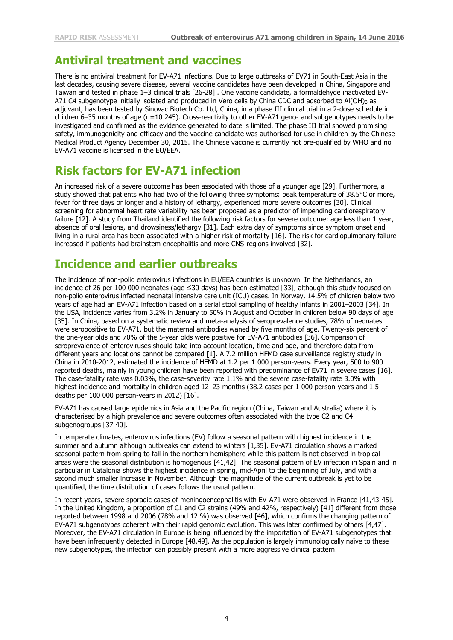#### **Antiviral treatment and vaccines**

There is no antiviral treatment for EV-A71 infections. Due to large outbreaks of EV71 in South-East Asia in the last decades, causing severe disease, several vaccine candidates have been developed in China, Singapore and Taiwan and tested in phase 1–3 clinical trials [26-28] . One vaccine candidate, a formaldehyde inactivated EV-A71 C4 subgenotype initially isolated and produced in Vero cells by China CDC and adsorbed to Al(OH)<sub>3</sub> as adjuvant, has been tested by Sinovac Biotech Co. Ltd, China, in a phase III clinical trial in a 2-dose schedule in children 6–35 months of age (n=10 245). Cross-reactivity to other EV-A71 geno- and subgenotypes needs to be investigated and confirmed as the evidence generated to date is limited. The phase III trial showed promising safety, immunogenicity and efficacy and the vaccine candidate was authorised for use in children by the Chinese Medical Product Agency December 30, 2015. The Chinese vaccine is currently not pre-qualified by WHO and no EV-A71 vaccine is licensed in the EU/EEA.

#### **Risk factors for EV-A71 infection**

An increased risk of a severe outcome has been associated with those of a younger age [29]. Furthermore, a study showed that patients who had two of the following three symptoms: peak temperature of 38.5°C or more, fever for three days or longer and a history of lethargy, experienced more severe outcomes [30]. Clinical screening for abnormal heart rate variability has been proposed as a predictor of impending cardiorespiratory failure [12]. A study from Thailand identified the following risk factors for severe outcome: age less than 1 year, absence of oral lesions, and drowsiness/lethargy [31]. Each extra day of symptoms since symptom onset and living in a rural area has been associated with a higher risk of mortality [16]. The risk for cardiopulmonary failure increased if patients had brainstem encephalitis and more CNS-regions involved [32].

#### **Incidence and earlier outbreaks**

The incidence of non-polio enterovirus infections in EU/EEA countries is unknown. In the Netherlands, an incidence of 26 per 100 000 neonates (age ≤30 days) has been estimated [33], although this study focused on non-polio enterovirus infected neonatal intensive care unit (ICU) cases. In Norway, 14.5% of children below two years of age had an EV-A71 infection based on a serial stool sampling of healthy infants in 2001–2003 [34]. In the USA, incidence varies from 3.2% in January to 50% in August and October in children below 90 days of age [35]. In China, based on a systematic review and meta-analysis of seroprevalence studies, 78% of neonates were seropositive to EV-A71, but the maternal antibodies waned by five months of age. Twenty-six percent of the one-year olds and 70% of the 5-year olds were positive for EV-A71 antibodies [36]. Comparison of seroprevalence of enteroviruses should take into account location, time and age, and therefore data from different years and locations cannot be compared [1]. A 7.2 million HFMD case surveillance registry study in China in 2010-2012, estimated the incidence of HFMD at 1.2 per 1 000 person-years. Every year, 500 to 900 reported deaths, mainly in young children have been reported with predominance of EV71 in severe cases [16]. The case-fatality rate was 0.03%, the case-severity rate 1.1% and the severe case-fatality rate 3.0% with highest incidence and mortality in children aged 12-23 months (38.2 cases per 1 000 person-years and 1.5 deaths per 100 000 person-years in 2012) [16].

EV-A71 has caused large epidemics in Asia and the Pacific region (China, Taiwan and Australia) where it is characterised by a high prevalence and severe outcomes often associated with the type C2 and C4 subgenogroups [37-40].

In temperate climates, enterovirus infections (EV) follow a seasonal pattern with highest incidence in the summer and autumn although outbreaks can extend to winters [1,35]. EV-A71 circulation shows a marked seasonal pattern from spring to fall in the northern hemisphere while this pattern is not observed in tropical areas were the seasonal distribution is homogenous [41,42]. The seasonal pattern of EV infection in Spain and in particular in Catalonia shows the highest incidence in spring, mid-April to the beginning of July, and with a second much smaller increase in November. Although the magnitude of the current outbreak is yet to be quantified, the time distribution of cases follows the usual pattern.

In recent years, severe sporadic cases of meningoencephalitis with EV-A71 were observed in France [41,43-45]. In the United Kingdom, a proportion of C1 and C2 strains (49% and 42%, respectively) [41] different from those reported between 1998 and 2006 (78% and 12 %) was observed [46], which confirms the changing pattern of EV-A71 subgenotypes coherent with their rapid genomic evolution. This was later confirmed by others [4,47]. Moreover, the EV-A71 circulation in Europe is being influenced by the importation of EV-A71 subgenotypes that have been infrequently detected in Europe [48,49]. As the population is largely immunologically naïve to these new subgenotypes, the infection can possibly present with a more aggressive clinical pattern.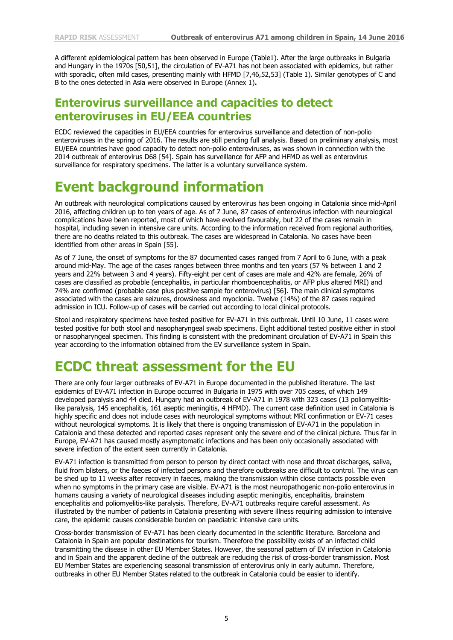A different epidemiological pattern has been observed in Europe (Table1). After the large outbreaks in Bulgaria and Hungary in the 1970s [50,51], the circulation of EV-A71 has not been associated with epidemics, but rather with sporadic, often mild cases, presenting mainly with HFMD [7,46,52,53] (Table 1). Similar genotypes of C and B to the ones detected in Asia were observed in Europe (Annex 1)**.** 

#### **Enterovirus surveillance and capacities to detect enteroviruses in EU/EEA countries**

ECDC reviewed the capacities in EU/EEA countries for enterovirus surveillance and detection of non-polio enteroviruses in the spring of 2016. The results are still pending full analysis. Based on preliminary analysis, most EU/EEA countries have good capacity to detect non-polio enteroviruses, as was shown in connection with the 2014 outbreak of enterovirus D68 [54]. Spain has surveillance for AFP and HFMD as well as enterovirus surveillance for respiratory specimens. The latter is a voluntary surveillance system.

### **Event background information**

An outbreak with neurological complications caused by enterovirus has been ongoing in Catalonia since mid-April 2016, affecting children up to ten years of age. As of 7 June, 87 cases of enterovirus infection with neurological complications have been reported, most of which have evolved favourably, but 22 of the cases remain in hospital, including seven in intensive care units. According to the information received from regional authorities, there are no deaths related to this outbreak. The cases are widespread in Catalonia. No cases have been identified from other areas in Spain [55].

As of 7 June, the onset of symptoms for the 87 documented cases ranged from 7 April to 6 June, with a peak around mid-May. The age of the cases ranges between three months and ten years (57 % between 1 and 2 years and 22% between 3 and 4 years). Fifty-eight per cent of cases are male and 42% are female, 26% of cases are classified as probable (encephalitis, in particular rhomboencephalitis, or AFP plus altered MRI) and 74% are confirmed (probable case plus positive sample for enterovirus) [56]. The main clinical symptoms associated with the cases are seizures, drowsiness and myoclonia. Twelve (14%) of the 87 cases required admission in ICU. Follow-up of cases will be carried out according to local clinical protocols.

Stool and respiratory specimens have tested positive for EV-A71 in this outbreak. Until 10 June, 11 cases were tested positive for both stool and nasopharyngeal swab specimens. Eight additional tested positive either in stool or nasopharyngeal specimen. This finding is consistent with the predominant circulation of EV-A71 in Spain this year according to the information obtained from the EV surveillance system in Spain.

### **ECDC threat assessment for the EU**

There are only four larger outbreaks of EV-A71 in Europe documented in the published literature. The last epidemics of EV-A71 infection in Europe occurred in Bulgaria in 1975 with over 705 cases, of which 149 developed paralysis and 44 died. Hungary had an outbreak of EV-A71 in 1978 with 323 cases (13 poliomyelitislike paralysis, 145 encephalitis, 161 aseptic meningitis, 4 HFMD). The current case definition used in Catalonia is highly specific and does not include cases with neurological symptoms without MRI confirmation or EV-71 cases without neurological symptoms. It is likely that there is ongoing transmission of EV-A71 in the population in Catalonia and these detected and reported cases represent only the severe end of the clinical picture. Thus far in Europe, EV-A71 has caused mostly asymptomatic infections and has been only occasionally associated with severe infection of the extent seen currently in Catalonia.

EV-A71 infection is transmitted from person to person by direct contact with nose and throat discharges, saliva, fluid from blisters, or the faeces of infected persons and therefore outbreaks are difficult to control. The virus can be shed up to 11 weeks after recovery in faeces, making the transmission within close contacts possible even when no symptoms in the primary case are visible. EV-A71 is the most neuropathogenic non-polio enterovirus in humans causing a variety of neurological diseases including aseptic meningitis, encephalitis, brainstem encephalitis and poliomyelitis-like paralysis. Therefore, EV-A71 outbreaks require careful assessment. As illustrated by the number of patients in Catalonia presenting with severe illness requiring admission to intensive care, the epidemic causes considerable burden on paediatric intensive care units.

Cross-border transmission of EV-A71 has been clearly documented in the scientific literature. Barcelona and Catalonia in Spain are popular destinations for tourism. Therefore the possibility exists of an infected child transmitting the disease in other EU Member States. However, the seasonal pattern of EV infection in Catalonia and in Spain and the apparent decline of the outbreak are reducing the risk of cross-border transmission. Most EU Member States are experiencing seasonal transmission of enterovirus only in early autumn. Therefore, outbreaks in other EU Member States related to the outbreak in Catalonia could be easier to identify.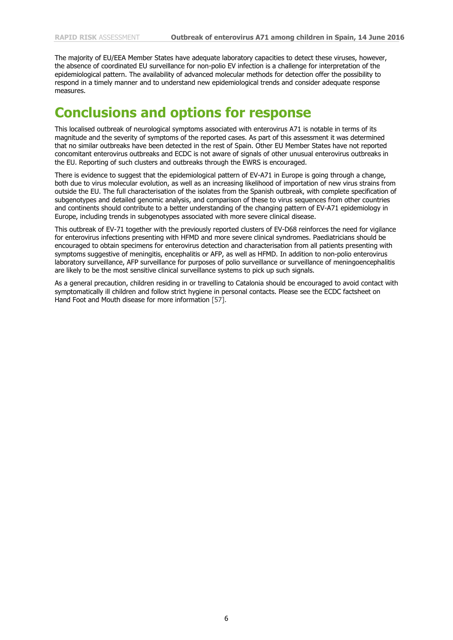The majority of EU/EEA Member States have adequate laboratory capacities to detect these viruses, however, the absence of coordinated EU surveillance for non-polio EV infection is a challenge for interpretation of the epidemiological pattern. The availability of advanced molecular methods for detection offer the possibility to respond in a timely manner and to understand new epidemiological trends and consider adequate response measures.

#### **Conclusions and options for response**

This localised outbreak of neurological symptoms associated with enterovirus A71 is notable in terms of its magnitude and the severity of symptoms of the reported cases. As part of this assessment it was determined that no similar outbreaks have been detected in the rest of Spain. Other EU Member States have not reported concomitant enterovirus outbreaks and ECDC is not aware of signals of other unusual enterovirus outbreaks in the EU. Reporting of such clusters and outbreaks through the EWRS is encouraged.

There is evidence to suggest that the epidemiological pattern of EV-A71 in Europe is going through a change, both due to virus molecular evolution, as well as an increasing likelihood of importation of new virus strains from outside the EU. The full characterisation of the isolates from the Spanish outbreak, with complete specification of subgenotypes and detailed genomic analysis, and comparison of these to virus sequences from other countries and continents should contribute to a better understanding of the changing pattern of EV-A71 epidemiology in Europe, including trends in subgenotypes associated with more severe clinical disease.

This outbreak of EV-71 together with the previously reported clusters of EV-D68 reinforces the need for vigilance for enterovirus infections presenting with HFMD and more severe clinical syndromes. Paediatricians should be encouraged to obtain specimens for enterovirus detection and characterisation from all patients presenting with symptoms suggestive of meningitis, encephalitis or AFP, as well as HFMD. In addition to non-polio enterovirus laboratory surveillance, AFP surveillance for purposes of polio surveillance or surveillance of meningoencephalitis are likely to be the most sensitive clinical surveillance systems to pick up such signals.

As a general precaution, children residing in or travelling to Catalonia should be encouraged to avoid contact with symptomatically ill children and follow strict hygiene in personal contacts. Please see the ECDC factsheet on Hand Foot and Mouth disease for more information [57].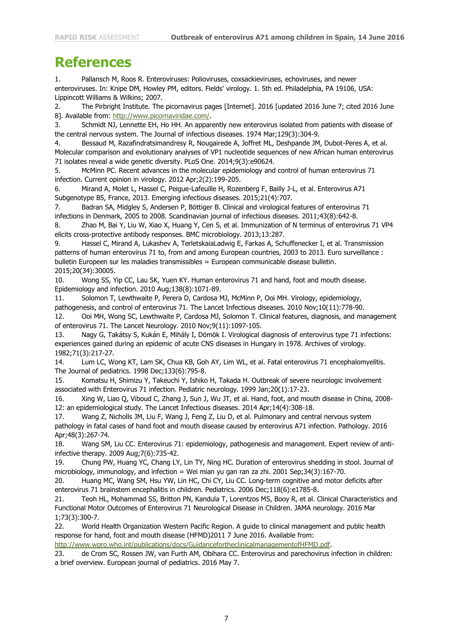### **References**

1. Pallansch M, Roos R. Enteroviruses: Polioviruses, coxsackieviruses, echoviruses, and newer enteroviruses. In: Knipe DM, Howley PM, editors. Fields' virology. 1. 5th ed. Philadelphia, PA 19106, USA: Lippincott Williams & Wilkins; 2007.

2. The Pirbright Institute. The picornavirus pages [Internet]. 2016 [updated 2016 June 7; cited 2016 June 8]. Available from: [http://www.picornaviridae.com/.](http://www.picornaviridae.com/)

3. Schmidt NJ, Lennette EH, Ho HH. An apparently new enterovirus isolated from patients with disease of the central nervous system. The Journal of infectious diseases. 1974 Mar;129(3):304-9.

4. Bessaud M, Razafindratsimandresy R, Nougairede A, Joffret ML, Deshpande JM, Dubot-Peres A, et al. Molecular comparison and evolutionary analyses of VP1 nucleotide sequences of new African human enterovirus 71 isolates reveal a wide genetic diversity. PLoS One. 2014;9(3):e90624.

5. McMinn PC. Recent advances in the molecular epidemiology and control of human enterovirus 71 infection. Current opinion in virology. 2012 Apr;2(2):199-205.

6. Mirand A, Molet L, Hassel C, Peigue-Lafeuille H, Rozenberg F, Bailly J-L, et al. Enterovirus A71 Subgenotype B5, France, 2013. Emerging infectious diseases. 2015;21(4):707.

7. Badran SA, Midgley S, Andersen P, Böttiger B. Clinical and virological features of enterovirus 71 infections in Denmark, 2005 to 2008. Scandinavian journal of infectious diseases. 2011;43(8):642-8.

8. Zhao M, Bai Y, Liu W, Xiao X, Huang Y, Cen S, et al. Immunization of N terminus of enterovirus 71 VP4 elicits cross-protective antibody responses. BMC microbiology. 2013;13:287.

9. Hassel C, Mirand A, Lukashev A, TerletskaiaLadwig E, Farkas A, Schuffenecker I, et al. Transmission patterns of human enterovirus 71 to, from and among European countries, 2003 to 2013. Euro surveillance : bulletin Europeen sur les maladies transmissibles = European communicable disease bulletin. 2015;20(34):30005.

10. Wong SS, Yip CC, Lau SK, Yuen KY. Human enterovirus 71 and hand, foot and mouth disease. Epidemiology and infection. 2010 Aug;138(8):1071-89.

11. Solomon T, Lewthwaite P, Perera D, Cardosa MJ, McMinn P, Ooi MH. Virology, epidemiology, pathogenesis, and control of enterovirus 71. The Lancet Infectious diseases. 2010 Nov;10(11):778-90.

12. Ooi MH, Wong SC, Lewthwaite P, Cardosa MJ, Solomon T. Clinical features, diagnosis, and management of enterovirus 71. The Lancet Neurology. 2010 Nov;9(11):1097-105.

13. Nagy G, Takátsy S, Kukán E, Mihály I, Dömök I. Virological diagnosis of enterovirus type 71 infections: experiences gained during an epidemic of acute CNS diseases in Hungary in 1978. Archives of virology. 1982;71(3):217-27.

14. Lum LC, Wong KT, Lam SK, Chua KB, Goh AY, Lim WL, et al. Fatal enterovirus 71 encephalomyelitis. The Journal of pediatrics. 1998 Dec;133(6):795-8.

15. Komatsu H, Shimizu Y, Takeuchi Y, Ishiko H, Takada H. Outbreak of severe neurologic involvement associated with Enterovirus 71 infection. Pediatric neurology. 1999 Jan;20(1):17-23.

16. Xing W, Liao Q, Viboud C, Zhang J, Sun J, Wu JT, et al. Hand, foot, and mouth disease in China, 2008- 12: an epidemiological study. The Lancet Infectious diseases. 2014 Apr;14(4):308-18.

17. Wang Z, Nicholls JM, Liu F, Wang J, Feng Z, Liu D, et al. Pulmonary and central nervous system pathology in fatal cases of hand foot and mouth disease caused by enterovirus A71 infection. Pathology. 2016 Apr;48(3):267-74.

18. Wang SM, Liu CC. Enterovirus 71: epidemiology, pathogenesis and management. Expert review of antiinfective therapy. 2009 Aug;7(6):735-42.

19. Chung PW, Huang YC, Chang LY, Lin TY, Ning HC. Duration of enterovirus shedding in stool. Journal of microbiology, immunology, and infection = Wei mian yu gan ran za zhi. 2001 Sep;34(3):167-70.

20. Huang MC, Wang SM, Hsu YW, Lin HC, Chi CY, Liu CC. Long-term cognitive and motor deficits after enterovirus 71 brainstem encephalitis in children. Pediatrics. 2006 Dec;118(6):e1785-8.

21. Teoh HL, Mohammad SS, Britton PN, Kandula T, Lorentzos MS, Booy R, et al. Clinical Characteristics and Functional Motor Outcomes of Enterovirus 71 Neurological Disease in Children. JAMA neurology. 2016 Mar 1;73(3):300-7.

22. World Health Organization Western Pacific Region. A guide to clinical management and public health response for hand, foot and mouth disease (HFMD)2011 7 June 2016. Available from:

[http://www.wpro.who.int/publications/docs/GuidancefortheclinicalmanagementofHFMD.pdf.](http://www.wpro.who.int/publications/docs/GuidancefortheclinicalmanagementofHFMD.pdf)

23. de Crom SC, Rossen JW, van Furth AM, Obihara CC. Enterovirus and parechovirus infection in children: a brief overview. European journal of pediatrics. 2016 May 7.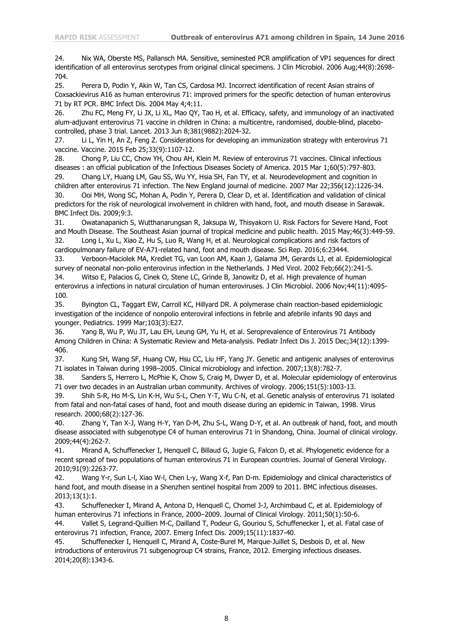24. Nix WA, Oberste MS, Pallansch MA. Sensitive, seminested PCR amplification of VP1 sequences for direct identification of all enterovirus serotypes from original clinical specimens. J Clin Microbiol. 2006 Aug;44(8):2698- 704.

25. Perera D, Podin Y, Akin W, Tan CS, Cardosa MJ. Incorrect identification of recent Asian strains of Coxsackievirus A16 as human enterovirus 71: improved primers for the specific detection of human enterovirus 71 by RT PCR. BMC Infect Dis. 2004 May 4;4:11.

26. Zhu FC, Meng FY, Li JX, Li XL, Mao QY, Tao H, et al. Efficacy, safety, and immunology of an inactivated alum-adjuvant enterovirus 71 vaccine in children in China: a multicentre, randomised, double-blind, placebocontrolled, phase 3 trial. Lancet. 2013 Jun 8;381(9882):2024-32.

27. Li L, Yin H, An Z, Feng Z. Considerations for developing an immunization strategy with enterovirus 71 vaccine. Vaccine. 2015 Feb 25;33(9):1107-12.

28. Chong P, Liu CC, Chow YH, Chou AH, Klein M. Review of enterovirus 71 vaccines. Clinical infectious diseases : an official publication of the Infectious Diseases Society of America. 2015 Mar 1;60(5):797-803. 29. Chang LY, Huang LM, Gau SS, Wu YY, Hsia SH, Fan TY, et al. Neurodevelopment and cognition in

children after enterovirus 71 infection. The New England journal of medicine. 2007 Mar 22;356(12):1226-34. 30. Ooi MH, Wong SC, Mohan A, Podin Y, Perera D, Clear D, et al. Identification and validation of clinical predictors for the risk of neurological involvement in children with hand, foot, and mouth disease in Sarawak. BMC Infect Dis. 2009;9:3.

31. Owatanapanich S, Wutthanarungsan R, Jaksupa W, Thisyakorn U. Risk Factors for Severe Hand, Foot and Mouth Disease. The Southeast Asian journal of tropical medicine and public health. 2015 May;46(3):449-59. 32. Long L, Xu L, Xiao Z, Hu S, Luo R, Wang H, et al. Neurological complications and risk factors of cardiopulmonary failure of EV-A71-related hand, foot and mouth disease. Sci Rep. 2016;6:23444.

33. Verboon-Maciolek MA, Krediet TG, van Loon AM, Kaan J, Galama JM, Gerards LJ, et al. Epidemiological survey of neonatal non-polio enterovirus infection in the Netherlands. J Med Virol. 2002 Feb;66(2):241-5. 34. Witso E, Palacios G, Cinek O, Stene LC, Grinde B, Janowitz D, et al. High prevalence of human enterovirus a infections in natural circulation of human enteroviruses. J Clin Microbiol. 2006 Nov;44(11):4095-

100.

35. Byington CL, Taggart EW, Carroll KC, Hillyard DR. A polymerase chain reaction-based epidemiologic investigation of the incidence of nonpolio enteroviral infections in febrile and afebrile infants 90 days and younger. Pediatrics. 1999 Mar;103(3):E27.

36. Yang B, Wu P, Wu JT, Lau EH, Leung GM, Yu H, et al. Seroprevalence of Enterovirus 71 Antibody Among Children in China: A Systematic Review and Meta-analysis. Pediatr Infect Dis J. 2015 Dec;34(12):1399- 406.

37. Kung SH, Wang SF, Huang CW, Hsu CC, Liu HF, Yang JY. Genetic and antigenic analyses of enterovirus 71 isolates in Taiwan during 1998–2005. Clinical microbiology and infection. 2007;13(8):782-7.

38. Sanders S, Herrero L, McPhie K, Chow S, Craig M, Dwyer D, et al. Molecular epidemiology of enterovirus 71 over two decades in an Australian urban community. Archives of virology. 2006;151(5):1003-13.

39. Shih S-R, Ho M-S, Lin K-H, Wu S-L, Chen Y-T, Wu C-N, et al. Genetic analysis of enterovirus 71 isolated from fatal and non-fatal cases of hand, foot and mouth disease during an epidemic in Taiwan, 1998. Virus research. 2000;68(2):127-36.

40. Zhang Y, Tan X-J, Wang H-Y, Yan D-M, Zhu S-L, Wang D-Y, et al. An outbreak of hand, foot, and mouth disease associated with subgenotype C4 of human enterovirus 71 in Shandong, China. Journal of clinical virology. 2009;44(4):262-7.

41. Mirand A, Schuffenecker I, Henquell C, Billaud G, Jugie G, Falcon D, et al. Phylogenetic evidence for a recent spread of two populations of human enterovirus 71 in European countries. Journal of General Virology. 2010;91(9):2263-77.

42. Wang Y-r, Sun L-l, Xiao W-l, Chen L-y, Wang X-f, Pan D-m. Epidemiology and clinical characteristics of hand foot, and mouth disease in a Shenzhen sentinel hospital from 2009 to 2011. BMC infectious diseases. 2013;13(1):1.

43. Schuffenecker I, Mirand A, Antona D, Henquell C, Chomel J-J, Archimbaud C, et al. Epidemiology of human enterovirus 71 infections in France, 2000–2009. Journal of Clinical Virology. 2011;50(1):50-6.

44. Vallet S, Legrand-Quillien M-C, Dailland T, Podeur G, Gouriou S, Schuffenecker I, et al. Fatal case of enterovirus 71 infection, France, 2007. Emerg Infect Dis. 2009;15(11):1837-40.

45. Schuffenecker I, Henquell C, Mirand A, Coste-Burel M, Marque-Juillet S, Desbois D, et al. New introductions of enterovirus 71 subgenogroup C4 strains, France, 2012. Emerging infectious diseases. 2014;20(8):1343-6.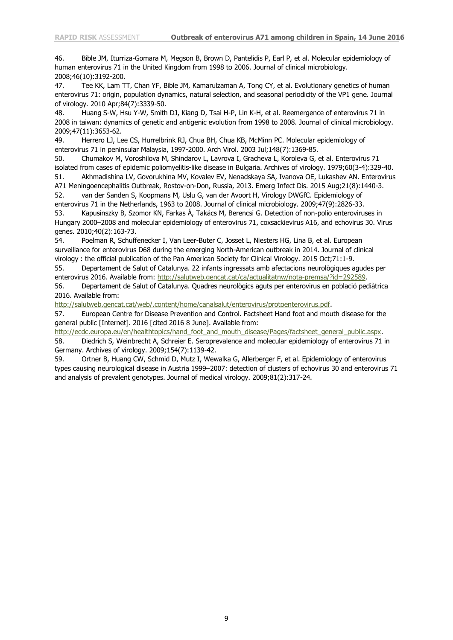46. Bible JM, Iturriza-Gomara M, Megson B, Brown D, Pantelidis P, Earl P, et al. Molecular epidemiology of human enterovirus 71 in the United Kingdom from 1998 to 2006. Journal of clinical microbiology. 2008;46(10):3192-200.

47. Tee KK, Lam TT, Chan YF, Bible JM, Kamarulzaman A, Tong CY, et al. Evolutionary genetics of human enterovirus 71: origin, population dynamics, natural selection, and seasonal periodicity of the VP1 gene. Journal of virology. 2010 Apr;84(7):3339-50.

48. Huang S-W, Hsu Y-W, Smith DJ, Kiang D, Tsai H-P, Lin K-H, et al. Reemergence of enterovirus 71 in 2008 in taiwan: dynamics of genetic and antigenic evolution from 1998 to 2008. Journal of clinical microbiology. 2009;47(11):3653-62.

49. Herrero LJ, Lee CS, Hurrelbrink RJ, Chua BH, Chua KB, McMinn PC. Molecular epidemiology of enterovirus 71 in peninsular Malaysia, 1997-2000. Arch Virol. 2003 Jul;148(7):1369-85.

50. Chumakov M, Voroshilova M, Shindarov L, Lavrova I, Gracheva L, Koroleva G, et al. Enterovirus 71 isolated from cases of epidemic poliomyelitis-like disease in Bulgaria. Archives of virology. 1979;60(3-4):329-40. 51. Akhmadishina LV, Govorukhina MV, Kovalev EV, Nenadskaya SA, Ivanova OE, Lukashev AN. Enterovirus

A71 Meningoencephalitis Outbreak, Rostov-on-Don, Russia, 2013. Emerg Infect Dis. 2015 Aug;21(8):1440-3. 52. van der Sanden S, Koopmans M, Uslu G, van der Avoort H, Virology DWGfC. Epidemiology of

enterovirus 71 in the Netherlands, 1963 to 2008. Journal of clinical microbiology. 2009;47(9):2826-33. 53. Kapusinszky B, Szomor KN, Farkas Á, Takács M, Berencsi G. Detection of non-polio enteroviruses in Hungary 2000–2008 and molecular epidemiology of enterovirus 71, coxsackievirus A16, and echovirus 30. Virus genes. 2010;40(2):163-73.

54. Poelman R, Schuffenecker I, Van Leer-Buter C, Josset L, Niesters HG, Lina B, et al. European surveillance for enterovirus D68 during the emerging North-American outbreak in 2014. Journal of clinical virology : the official publication of the Pan American Society for Clinical Virology. 2015 Oct;71:1-9.

55. Departament de Salut of Catalunya. 22 infants ingressats amb afectacions neurològiques agudes per enterovirus 2016. Available from: [http://salutweb.gencat.cat/ca/actualitatnw/nota-premsa/?id=292589.](http://salutweb.gencat.cat/ca/actualitatnw/nota-premsa/?id=292589)

56. Departament de Salut of Catalunya. Quadres neurològics aguts per enterovirus en població pediàtrica 2016. Available from:

[http://salutweb.gencat.cat/web/.content/home/canalsalut/enterovirus/protoenterovirus.pdf.](http://salutweb.gencat.cat/web/.content/home/canalsalut/enterovirus/protoenterovirus.pdf)

57. European Centre for Disease Prevention and Control. Factsheet Hand foot and mouth disease for the general public [Internet]. 2016 [cited 2016 8 June]. Available from:

[http://ecdc.europa.eu/en/healthtopics/hand\\_foot\\_and\\_mouth\\_disease/Pages/factsheet\\_general\\_public.aspx.](http://ecdc.europa.eu/en/healthtopics/hand_foot_and_mouth_disease/Pages/factsheet_general_public.aspx) 58. Diedrich S, Weinbrecht A, Schreier E. Seroprevalence and molecular epidemiology of enterovirus 71 in Germany. Archives of virology. 2009;154(7):1139-42.

59. Ortner B, Huang CW, Schmid D, Mutz I, Wewalka G, Allerberger F, et al. Epidemiology of enterovirus types causing neurological disease in Austria 1999–2007: detection of clusters of echovirus 30 and enterovirus 71 and analysis of prevalent genotypes. Journal of medical virology. 2009;81(2):317-24.